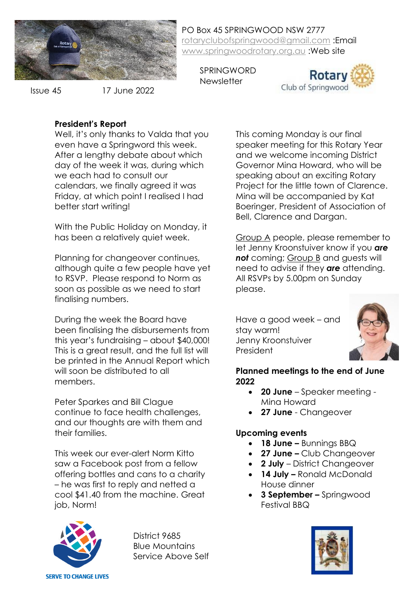

Issue 45

17 June 2022

PO Box 45 SPRINGWOOD NSW 2777 [rotaryclubofspringwood@gmail.com](mailto:rotaryclubofspringwood@gmail.com) :Email [www.springwoodrotary.org.au](http://www.springwoodrotary.org.au/) :Web site

SPRINGWORD **Newsletter** 



**President's Report**

Well, it's only thanks to Valda that you even have a Springword this week. After a lengthy debate about which day of the week it was, during which we each had to consult our calendars, we finally agreed it was Friday, at which point I realised I had better start writing!

With the Public Holiday on Monday, it has been a relatively quiet week.

Planning for changeover continues, although quite a few people have yet to RSVP. Please respond to Norm as soon as possible as we need to start finalising numbers.

During the week the Board have been finalising the disbursements from this year's fundraising – about \$40,000! This is a great result, and the full list will be printed in the Annual Report which will soon be distributed to all members.

Peter Sparkes and Bill Clague continue to face health challenges, and our thoughts are with them and their families.

This week our ever-alert Norm Kitto saw a Facebook post from a fellow offering bottles and cans to a charity – he was first to reply and netted a cool \$41.40 from the machine. Great job, Norm!



District 9685 Blue Mountains Service Above Self This coming Monday is our final speaker meeting for this Rotary Year and we welcome incoming District Governor Mina Howard, who will be speaking about an exciting Rotary Project for the little town of Clarence. Mina will be accompanied by Kat Boeringer, President of Association of Bell, Clarence and Dargan.

Group A people, please remember to let Jenny Kroonstuiver know if you *are not* coming; Group B and guests will need to advise if they *are* attending. All RSVPs by 5.00pm on Sunday please.

Have a good week – and stay warm! Jenny Kroonstuiver President



## **Planned meetings to the end of June 2022**

- **20 June**  Speaker meeting Mina Howard
- **27 June**  Changeover

# **Upcoming events**

- **18 June –** Bunnings BBQ
- **27 June –** Club Changeover
- **2 July** District Changeover
- **14 July –** Ronald McDonald House dinner
- **3 September –** Springwood Festival BBQ

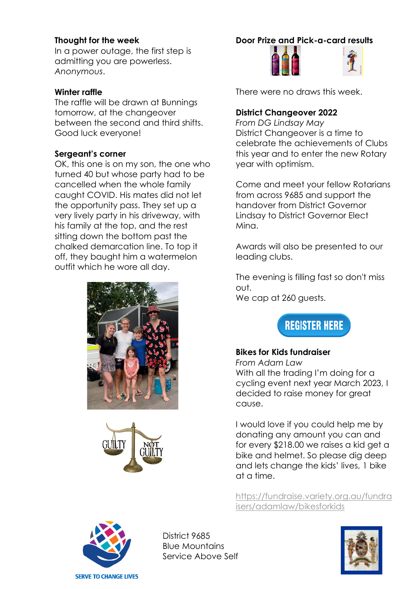### **Thought for the week**

In a power outage, the first step is admitting you are powerless. *Anonymous*.

### **Winter raffle**

The raffle will be drawn at Bunnings tomorrow, at the changeover between the second and third shifts. Good luck everyone!

## **Sergeant's corner**

OK, this one is on my son, the one who turned 40 but whose party had to be cancelled when the whole family caught COVID. His mates did not let the opportunity pass. They set up a very lively party in his driveway, with his family at the top, and the rest sitting down the bottom past the chalked demarcation line. To top it off, they baught him a watermelon outfit which he wore all day.





## **Door Prize and Pick-a-card results**



There were no draws this week.

## **District Changeover 2022**

*From DG Lindsay May* District Changeover is a time to celebrate the achievements of Clubs this year and to enter the new Rotary year with optimism.

Come and meet your fellow Rotarians from across 9685 and support the handover from District Governor Lindsay to District Governor Elect Mina.

Awards will also be presented to our leading clubs.

The evening is filling fast so don't miss out.

We cap at 260 guests.



## **Bikes for Kids fundraiser**

*From Adam Law* With all the trading I'm doing for a cycling event next year March 2023, I decided to raise money for great cause.

I would love if you could help me by donating any amount you can and for every \$218.00 we raises a kid get a bike and helmet. So please dig deep and lets change the kids' lives, 1 bike at a time.

[https://fundraise.variety.org.au/fundra](https://fundraise.variety.org.au/fundraisers/adamlaw/bikesforkids) [isers/adamlaw/bikesforkids](https://fundraise.variety.org.au/fundraisers/adamlaw/bikesforkids)



District 9685 Blue Mountains Service Above Self

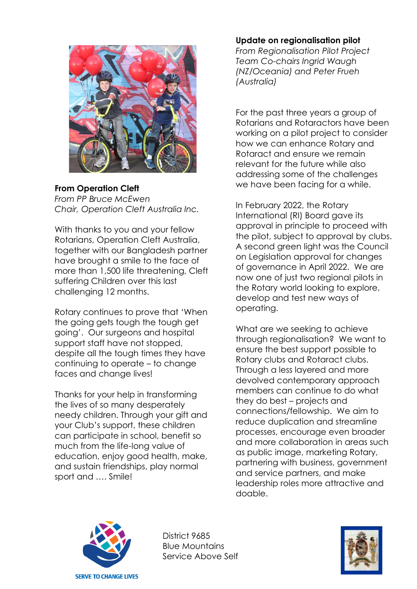

**From Operation Cleft** *From PP Bruce McEwen Chair, Operation Cleft Australia Inc.*

With thanks to you and your fellow Rotarians, Operation Cleft Australia, together with our Bangladesh partner have brought a smile to the face of more than 1,500 life threatening, Cleft suffering Children over this last challenging 12 months.

Rotary continues to prove that 'When the going gets tough the tough get going'. Our surgeons and hospital support staff have not stopped, despite all the tough times they have continuing to operate – to change faces and change lives!

Thanks for your help in transforming the lives of so many desperately needy children. Through your gift and your Club's support, these children can participate in school, benefit so much from the life-long value of education, enjoy good health, make, and sustain friendships, play normal sport and …. Smile!

#### **Update on regionalisation pilot**

*From Regionalisation Pilot Project Team Co-chairs Ingrid Waugh (NZ/Oceania) and Peter Frueh (Australia)*

For the past three years a group of Rotarians and Rotaractors have been working on a pilot project to consider how we can enhance Rotary and Rotaract and ensure we remain relevant for the future while also addressing some of the challenges we have been facing for a while.

In February 2022, the Rotary International (RI) Board gave its approval in principle to proceed with the pilot, subject to approval by clubs. A second green light was the Council on Legislation approval for changes of governance in April 2022. We are now one of just two regional pilots in the Rotary world looking to explore, develop and test new ways of operating.

What are we seeking to achieve through regionalisation? We want to ensure the best support possible to Rotary clubs and Rotaract clubs. Through a less layered and more devolved contemporary approach members can continue to do what they do best – projects and connections/fellowship. We aim to reduce duplication and streamline processes, encourage even broader and more collaboration in areas such as public image, marketing Rotary, partnering with business, government and service partners, and make leadership roles more attractive and doable.



District 9685 Blue Mountains Service Above Self

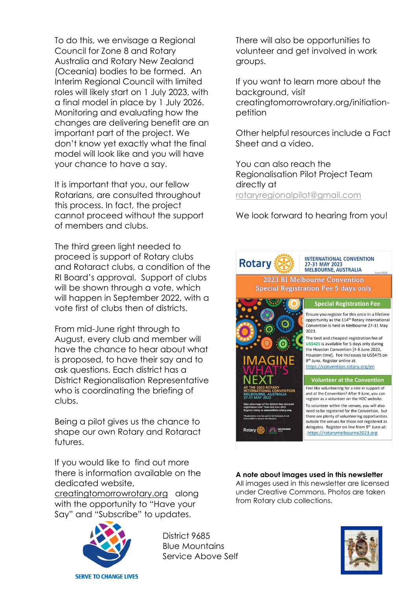To do this, we envisage a Regional Council for Zone 8 and Rotary Australia and Rotary New Zealand (Oceania) bodies to be formed. An Interim Regional Council with limited roles will likely start on 1 July 2023, with a final model in place by 1 July 2026. Monitoring and evaluating how the changes are delivering benefit are an important part of the project. We don't know yet exactly what the final model will look like and you will have your chance to have a say.

It is important that you, our fellow Rotarians, are consulted throughout this process. In fact, the project cannot proceed without the support of members and clubs.

The third green light needed to proceed is support of Rotary clubs and Rotaract clubs, a condition of the RI Board's approval. Support of clubs will be shown through a vote, which will happen in September 2022, with a vote first of clubs then of districts.

From mid-June right through to August, every club and member will have the chance to hear about what is proposed, to have their say and to ask questions. Each district has a District Regionalisation Representative who is coordinating the briefing of clubs.

Being a pilot gives us the chance to shape our own Rotary and Rotaract futures.

If you would like to find out more there is information available on the dedicated website,

creatingtomorrowrotary.org along with the opportunity to "Have your Say" and "Subscribe" to updates.



District 9685 Blue Mountains Service Above Self

There will also be opportunities to volunteer and get involved in work groups.

If you want to learn more about the background, visit creatingtomorrowrotary.org/initiationpetition

Other helpful resources include a Fact Sheet and a video.

You can also reach the Regionalisation Pilot Project Team directly at [rotaryregionalpilot@gmail.com](mailto:rotaryregionalpilot@gmail.com)

We look forward to hearing from you!



#### **A note about images used in this newsletter**

All images used in this newsletter are licensed under Creative Commons. Photos are taken from Rotary club collections.